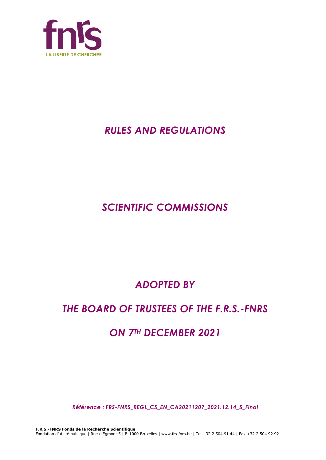

## *RULES AND REGULATIONS*

# *SCIENTIFIC COMMISSIONS*

# *ADOPTED BY*

## *THE BOARD OF TRUSTEES OF THE F.R.S.-FNRS*

## *ON 7TH DECEMBER 2021*

*Référence : FRS-FNRS\_REGL\_CS\_EN\_CA20211207\_2021.12.14\_5\_Final*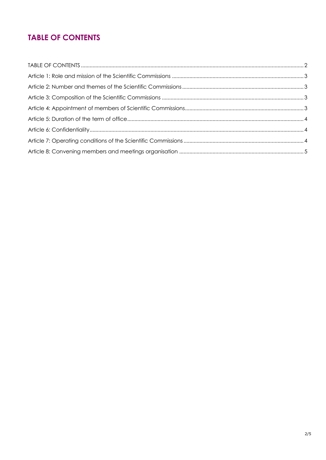### **TABLE OF CONTENTS**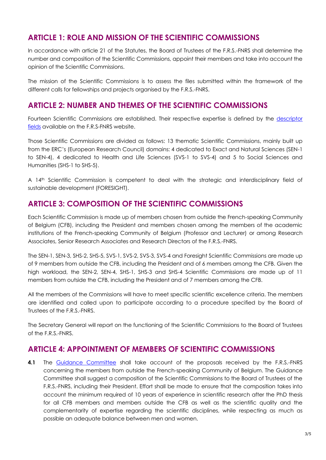#### **ARTICLE 1: ROLE AND MISSION OF THE SCIENTIFIC COMMISSIONS**

In accordance with article 21 of the Statutes, the Board of Trustees of the F.R.S.-FNRS shall determine the number and composition of the Scientific Commissions, appoint their members and take into account the opinion of the Scientific Commissions.

The mission of the Scientific Commissions is to assess the files submitted within the framework of the different calls for fellowships and projects organised by the F.R.S.-FNRS.

#### **ARTICLE 2: NUMBER AND THEMES OF THE SCIENTIFIC COMMISSIONS**

Fourteen Scientific Commissions are established. Their respective expertise is defined by the [descriptor](https://www.frs-fnrs.be/docs/Reglement-et-documents/FRS-FNRS_Champs_descripteurs.pdf)  [fields](https://www.frs-fnrs.be/docs/Reglement-et-documents/FRS-FNRS_Champs_descripteurs.pdf) available on the F.R.S-FNRS website.

Those Scientific Commissions are divided as follows: 13 thematic Scientific Commissions, mainly built up from the ERC's (European Research Council) domains: 4 dedicated to Exact and Natural Sciences (SEN-1 to SEN-4), 4 dedicated to Health and Life Sciences (SVS-1 to SVS-4) and 5 to Social Sciences and Humanities (SHS-1 to SHS-5).

A 14<sup>th</sup> Scientific Commission is competent to deal with the strategic and interdisciplinary field of sustainable development (FORESIGHT).

#### **ARTICLE 3: COMPOSITION OF THE SCIENTIFIC COMMISSIONS**

Each Scientific Commission is made up of members chosen from outside the French-speaking Community of Belgium (CFB), including the President and members chosen among the members of the academic institutions of the French-speaking Community of Belgium (Professor and Lecturer) or among Research Associates, Senior Research Associates and Research Directors of the F.R.S.-FNRS.

The SEN-1, SEN-3, SHS-2, SHS-5, SVS-1, SVS-2, SVS-3, SVS-4 and Foresight Scientific Commissions are made up of 9 members from outside the CFB, including the President and of 6 members among the CFB. Given the high workload, the SEN-2, SEN-4, SHS-1, SHS-3 and SHS-4 Scientific Commissions are made up of 11 members from outside the CFB, including the President and of 7 members among the CFB.

All the members of the Commissions will have to meet specific scientific excellence criteria. The members are identified and called upon to participate according to a procedure specified by the Board of Trustees of the F.R.S.-FNRS.

The Secretary General will report on the functioning of the Scientific Commissions to the Board of Trustees of the F.R.S.-FNRS.

#### **ARTICLE 4: APPOINTMENT OF MEMBERS OF SCIENTIFIC COMMISSIONS**

**4.1** The [Guidance Committee](https://www.frs-fnrs.be/docs/Reglement-et-documents/FRS-FNRS_REGL_COMA_EN.pdf) shall take account of the proposals received by the F.R.S.-FNRS concerning the members from outside the French-speaking Community of Belgium. The Guidance Committee shall suggest a composition of the Scientific Commissions to the Board of Trustees of the F.R.S.-FNRS, including their President. Effort shall be made to ensure that the composition takes into account the minimum required of 10 years of experience in scientific research after the PhD thesis for all CFB members and members outside the CFB as well as the scientific quality and the complementarity of expertise regarding the scientific disciplines, while respecting as much as possible an adequate balance between men and women.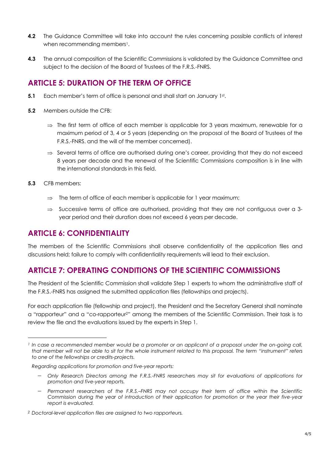- **4.2** The Guidance Committee will take into account the rules concerning possible conflicts of interest when recommending members<sup>1</sup>.
- **4.3** The annual composition of the Scientific Commissions is validated by the Guidance Committee and subject to the decision of the Board of Trustees of the F.R.S.-FNRS.

#### **ARTICLE 5: DURATION OF THE TERM OF OFFICE**

- **5.1** Each member's term of office is personal and shall start on January 1st.
- **5.2** Members outside the CFB:
	- $\Rightarrow$  The first term of office of each member is applicable for 3 years maximum, renewable for a maximum period of 3, 4 or 5 years (depending on the proposal of the Board of Trustees of the F.R.S.-FNRS. and the will of the member concerned).
	- $\Rightarrow$  Several terms of office are authorised during one's career, providing that they do not exceed 8 years per decade and the renewal of the Scientific Commissions composition is in line with the international standards in this field.
- **5.3** CFB members:
	- $\Rightarrow$  The term of office of each member is applicable for 1 year maximum;
	- $\Rightarrow$  Successive terms of office are authorised, providing that they are not contiguous over a 3year period and their duration does not exceed 6 years per decade.

#### **ARTICLE 6: CONFIDENTIALITY**

The members of the Scientific Commissions shall observe confidentiality of the application files and discussions held; failure to comply with confidentiality requirements will lead to their exclusion.

### **ARTICLE 7: OPERATING CONDITIONS OF THE SCIENTIFIC COMMISSIONS**

The President of the Scientific Commission shall validate Step 1 experts to whom the administrative staff of the F.R.S.-FNRS has assigned the submitted application files (fellowships and projects).

For each application file (fellowship and project), the President and the Secretary General shall nominate a "rapporteur" and a "co-rapporteur2" among the members of the Scientific Commission. Their task is to review the file and the evaluations issued by the experts in Step 1.

- − *Only Research Directors among the F.R.S.-FNRS researchers may sit for evaluations of applications for promotion and five-year reports.*
- − *Permanent researchers of the F.R.S.–FNRS may not occupy their term of office within the Scientific Commission during the year of introduction of their application for promotion or the year their five-year report is evaluated.*

*<sup>1</sup> In case a recommended member would be a promoter or an applicant of a proposal under the on-going call, that member will not be able to sit for the whole instrument related to this proposal. The term "instrument" refers to one of the fellowships or credits-projects.*

*Regarding applications for promotion and five-year reports:*

*<sup>2</sup> Doctoral-level application files are assigned to two rapporteurs.*